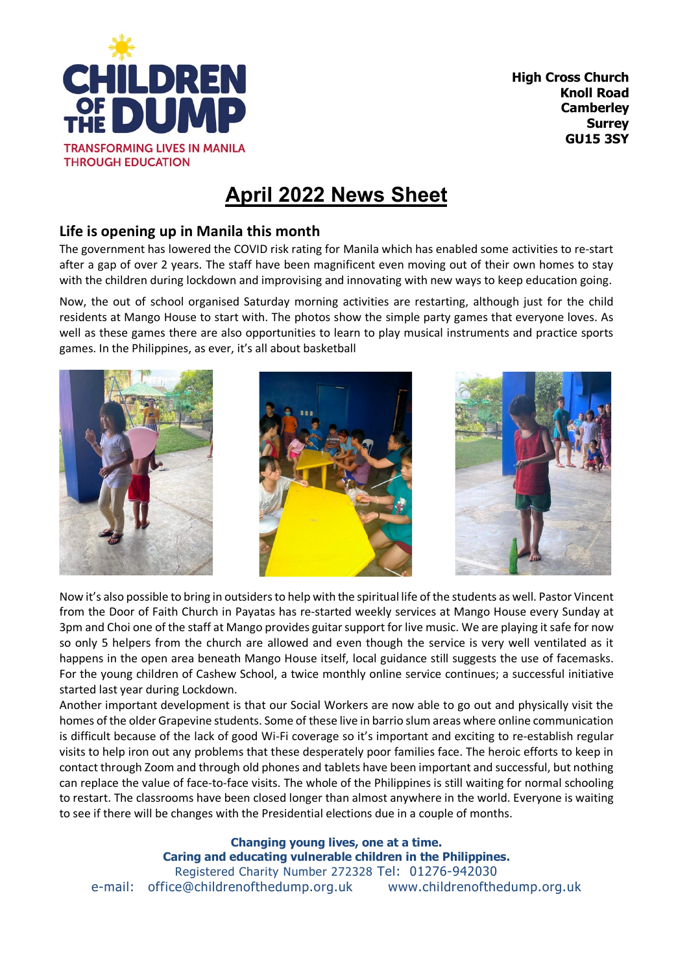

## **April 2022 News Sheet**

## **Life is opening up in Manila this month**

The government has lowered the COVID risk rating for Manila which has enabled some activities to re-start after a gap of over 2 years. The staff have been magnificent even moving out of their own homes to stay with the children during lockdown and improvising and innovating with new ways to keep education going.

Now, the out of school organised Saturday morning activities are restarting, although just for the child residents at Mango House to start with. The photos show the simple party games that everyone loves. As well as these games there are also opportunities to learn to play musical instruments and practice sports games. In the Philippines, as ever, it's all about basketball



Now it's also possible to bring in outsiders to help with the spiritual life of the students as well. Pastor Vincent from the Door of Faith Church in Payatas has re-started weekly services at Mango House every Sunday at 3pm and Choi one of the staff at Mango provides guitar support for live music. We are playing it safe for now so only 5 helpers from the church are allowed and even though the service is very well ventilated as it happens in the open area beneath Mango House itself, local guidance still suggests the use of facemasks. For the young children of Cashew School, a twice monthly online service continues; a successful initiative started last year during Lockdown.

Another important development is that our Social Workers are now able to go out and physically visit the homes of the older Grapevine students. Some of these live in barrio slum areas where online communication is difficult because of the lack of good Wi-Fi coverage so it's important and exciting to re-establish regular visits to help iron out any problems that these desperately poor families face. The heroic efforts to keep in contact through Zoom and through old phones and tablets have been important and successful, but nothing can replace the value of face-to-face visits. The whole of the Philippines is still waiting for normal schooling to restart. The classrooms have been closed longer than almost anywhere in the world. Everyone is waiting to see if there will be changes with the Presidential elections due in a couple of months.

**Changing young lives, one at a time. Caring and educating vulnerable children in the Philippines.** Registered Charity Number 272328 Tel: 01276-942030 e-mail: [office@childrenofthedump.org.uk](mailto:office@asct.org.uk) www.childrenofthedump.org.uk